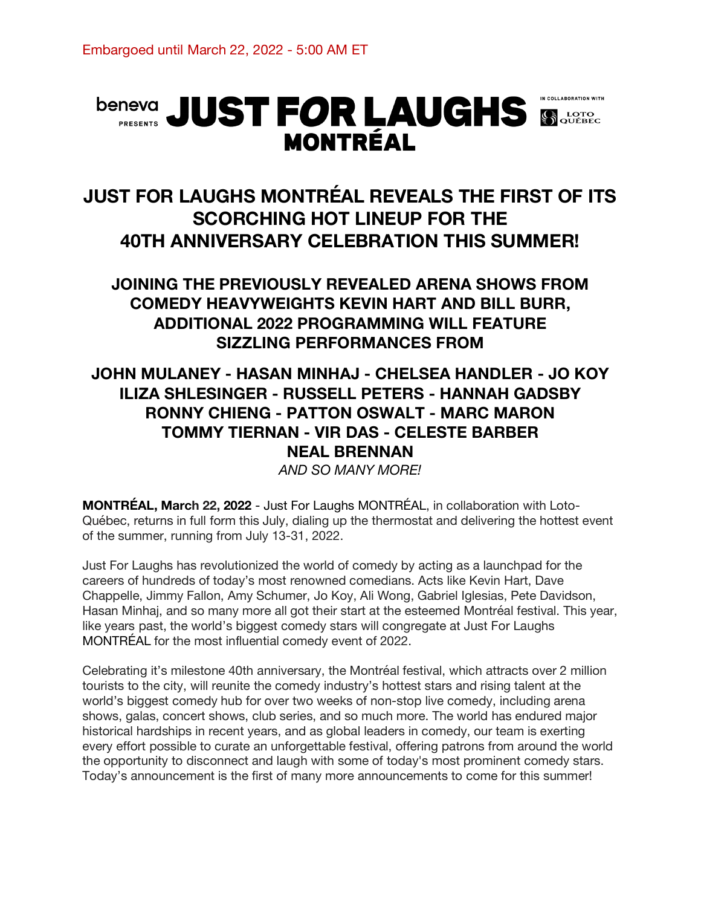# **beneva** JUST FOR LAUGHS SOURCE **MONTRÉAL**

# **JUST FOR LAUGHS MONTRÉAL REVEALS THE FIRST OF ITS SCORCHING HOT LINEUP FOR THE 40TH ANNIVERSARY CELEBRATION THIS SUMMER!**

## **JOINING THE PREVIOUSLY REVEALED ARENA SHOWS FROM COMEDY HEAVYWEIGHTS KEVIN HART AND BILL BURR, ADDITIONAL 2022 PROGRAMMING WILL FEATURE SIZZLING PERFORMANCES FROM**

## **JOHN MULANEY - HASAN MINHAJ - CHELSEA HANDLER - JO KOY ILIZA SHLESINGER - RUSSELL PETERS - HANNAH GADSBY RONNY CHIENG - PATTON OSWALT - MARC MARON TOMMY TIERNAN - VIR DAS - CELESTE BARBER NEAL BRENNAN**

*AND SO MANY MORE!*

**MONTRÉAL, March 22, 2022** - Just For Laughs MONTRÉAL, in collaboration with Loto-Québec, returns in full form this July, dialing up the thermostat and delivering the hottest event of the summer, running from July 13-31, 2022.

Just For Laughs has revolutionized the world of comedy by acting as a launchpad for the careers of hundreds of today's most renowned comedians. Acts like Kevin Hart, Dave Chappelle, Jimmy Fallon, Amy Schumer, Jo Koy, Ali Wong, Gabriel Iglesias, Pete Davidson, Hasan Minhaj, and so many more all got their start at the esteemed Montréal festival. This year, like years past, the world's biggest comedy stars will congregate at Just For Laughs MONTRÉAL for the most influential comedy event of 2022.

Celebrating it's milestone 40th anniversary, the Montréal festival, which attracts over 2 million tourists to the city, will reunite the comedy industry's hottest stars and rising talent at the world's biggest comedy hub for over two weeks of non-stop live comedy, including arena shows, galas, concert shows, club series, and so much more. The world has endured major historical hardships in recent years, and as global leaders in comedy, our team is exerting every effort possible to curate an unforgettable festival, offering patrons from around the world the opportunity to disconnect and laugh with some of today's most prominent comedy stars. Today's announcement is the first of many more announcements to come for this summer!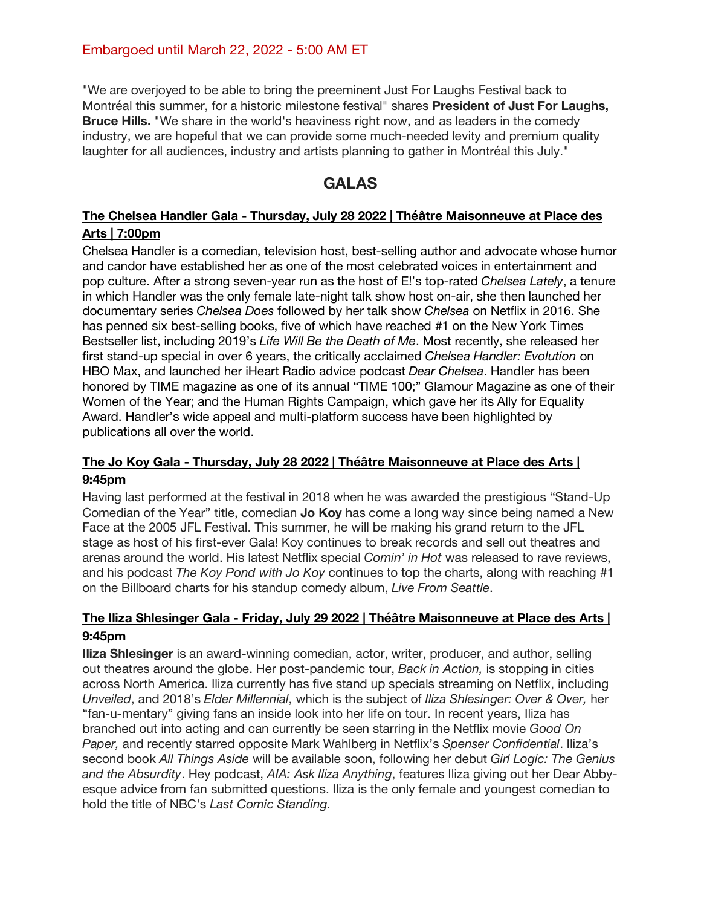"We are overjoyed to be able to bring the preeminent Just For Laughs Festival back to Montréal this summer, for a historic milestone festival" shares **President of Just For Laughs, Bruce Hills.** "We share in the world's heaviness right now, and as leaders in the comedy industry, we are hopeful that we can provide some much-needed levity and premium quality laughter for all audiences, industry and artists planning to gather in Montréal this July."

## **GALAS**

#### **The Chelsea Handler Gala - Thursday, July 28 2022 | Théâtre Maisonneuve at Place des Arts | 7:00pm**

Chelsea Handler is a comedian, television host, best-selling author and advocate whose humor and candor have established her as one of the most celebrated voices in entertainment and pop culture. After a strong seven-year run as the host of E!'s top-rated *Chelsea Lately*, a tenure in which Handler was the only female late-night talk show host on-air, she then launched her documentary series *Chelsea Does* followed by her talk show *Chelsea* on Netflix in 2016. She has penned six best-selling books, five of which have reached #1 on the New York Times Bestseller list, including 2019's *Life Will Be the Death of Me*. Most recently, she released her first stand-up special in over 6 years, the critically acclaimed *Chelsea Handler: Evolution* on HBO Max, and launched her iHeart Radio advice podcast *Dear Chelsea*. Handler has been honored by TIME magazine as one of its annual "TIME 100;" Glamour Magazine as one of their Women of the Year; and the Human Rights Campaign, which gave her its Ally for Equality Award. Handler's wide appeal and multi-platform success have been highlighted by publications all over the world.

#### **The Jo Koy Gala - Thursday, July 28 2022 | Théâtre Maisonneuve at Place des Arts | 9:45pm**

Having last performed at the festival in 2018 when he was awarded the prestigious "Stand-Up Comedian of the Year" title, comedian **Jo Koy** has come a long way since being named a New Face at the 2005 JFL Festival. This summer, he will be making his grand return to the JFL stage as host of his first-ever Gala! Koy continues to break records and sell out theatres and arenas around the world. His latest Netflix special *Comin' in Hot* was released to rave reviews, and his podcast *The Koy Pond with Jo Koy* continues to top the charts, along with reaching #1 on the Billboard charts for his standup comedy album, *Live From Seattle*.

#### **The Iliza Shlesinger Gala - Friday, July 29 2022 | Théâtre Maisonneuve at Place des Arts | 9:45pm**

**Iliza Shlesinger** is an award-winning comedian, actor, writer, producer, and author, selling out theatres around the globe. Her post-pandemic tour, *Back in Action,* is stopping in cities across North America. Iliza currently has five stand up specials streaming on Netflix, including *Unveiled*, and 2018's *Elder Millennial*, which is the subject of *Iliza Shlesinger: Over & Over,* her "fan-u-mentary" giving fans an inside look into her life on tour. In recent years, Iliza has branched out into acting and can currently be seen starring in the Netflix movie *Good On Paper,* and recently starred opposite Mark Wahlberg in Netflix's *Spenser Confidential*. Iliza's second book *All Things Aside* will be available soon, following her debut *Girl Logic: The Genius and the Absurdity*. Hey podcast, *AIA: Ask Iliza Anything*, features Iliza giving out her Dear Abbyesque advice from fan submitted questions. Iliza is the only female and youngest comedian to hold the title of NBC's *Last Comic Standing.*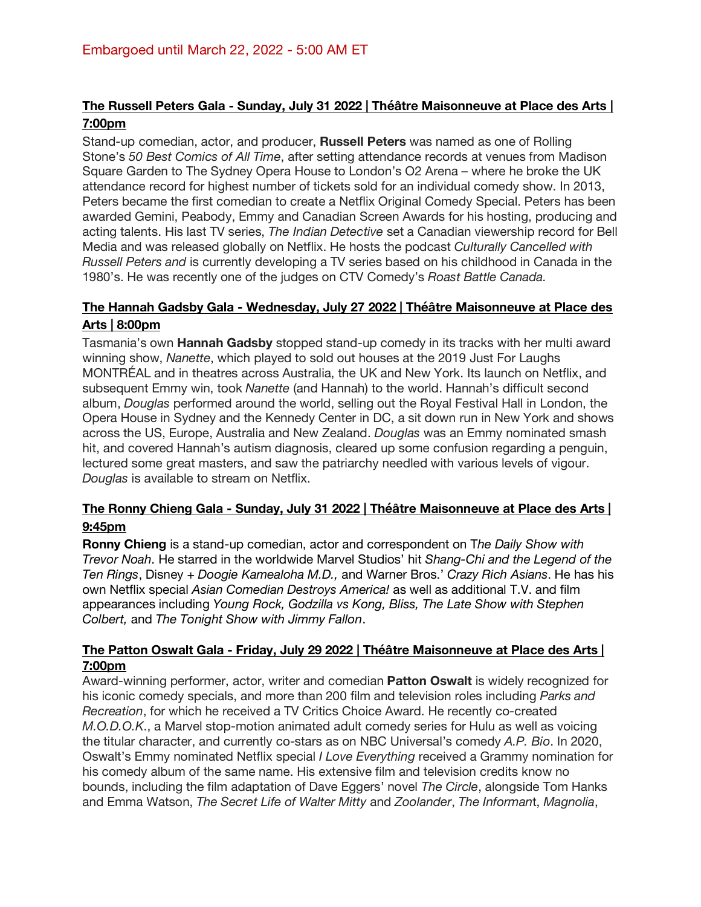#### **The Russell Peters Gala - Sunday, July 31 2022 | Théâtre Maisonneuve at Place des Arts | 7:00pm**

Stand-up comedian, actor, and producer, **Russell Peters** was named as one of Rolling Stone's *50 Best Comics of All Time*, after setting attendance records at venues from Madison Square Garden to The Sydney Opera House to London's O2 Arena – where he broke the UK attendance record for highest number of tickets sold for an individual comedy show. In 2013, Peters became the first comedian to create a Netflix Original Comedy Special. Peters has been awarded Gemini, Peabody, Emmy and Canadian Screen Awards for his hosting, producing and acting talents. His last TV series, *The Indian Detective* set a Canadian viewership record for Bell Media and was released globally on Netflix. He hosts the podcast *Culturally Cancelled with Russell Peters and* is currently developing a TV series based on his childhood in Canada in the 1980's. He was recently one of the judges on CTV Comedy's *Roast Battle Canada.*

#### **The Hannah Gadsby Gala - Wednesday, July 27 2022 | Théâtre Maisonneuve at Place des Arts | 8:00pm**

Tasmania's own **Hannah Gadsby** stopped stand-up comedy in its tracks with her multi award winning show, *Nanette*, which played to sold out houses at the 2019 Just For Laughs MONTRÉAL and in theatres across Australia, the UK and New York. Its launch on Netflix, and subsequent Emmy win, took *Nanette* (and Hannah) to the world. Hannah's difficult second album, *Douglas* performed around the world, selling out the Royal Festival Hall in London, the Opera House in Sydney and the Kennedy Center in DC, a sit down run in New York and shows across the US, Europe, Australia and New Zealand. *Douglas* was an Emmy nominated smash hit, and covered Hannah's autism diagnosis, cleared up some confusion regarding a penguin, lectured some great masters, and saw the patriarchy needled with various levels of vigour. *Douglas* is available to stream on Netflix.

#### **The Ronny Chieng Gala - Sunday, July 31 2022 | Théâtre Maisonneuve at Place des Arts | 9:45pm**

**Ronny Chieng** is a stand-up comedian, actor and correspondent on T*he Daily Show with Trevor Noah*. He starred in the worldwide Marvel Studios' hit *Shang-Chi and the Legend of the Ten Rings*, Disney + *Doogie Kamealoha M.D.,* and Warner Bros.' *Crazy Rich Asians*. He has his own Netflix special *Asian Comedian Destroys America!* as well as additional T.V. and film appearances including *Young Rock, Godzilla vs Kong, Bliss, The Late Show with Stephen Colbert,* and *The Tonight Show with Jimmy Fallon*.

#### **The Patton Oswalt Gala - Friday, July 29 2022 | Théâtre Maisonneuve at Place des Arts | 7:00pm**

Award-winning performer, actor, writer and comedian **Patton Oswalt** is widely recognized for his iconic comedy specials, and more than 200 film and television roles including *Parks and Recreation*, for which he received a TV Critics Choice Award. He recently co-created *M.O.D.O.K*., a Marvel stop-motion animated adult comedy series for Hulu as well as voicing the titular character, and currently co-stars as on NBC Universal's comedy *A.P. Bio*. In 2020, Oswalt's Emmy nominated Netflix special *I Love Everything* received a Grammy nomination for his comedy album of the same name. His extensive film and television credits know no bounds, including the film adaptation of Dave Eggers' novel *The Circle*, alongside Tom Hanks and Emma Watson, *The Secret Life of Walter Mitty* and *Zoolander*, *The Informan*t, *Magnolia*,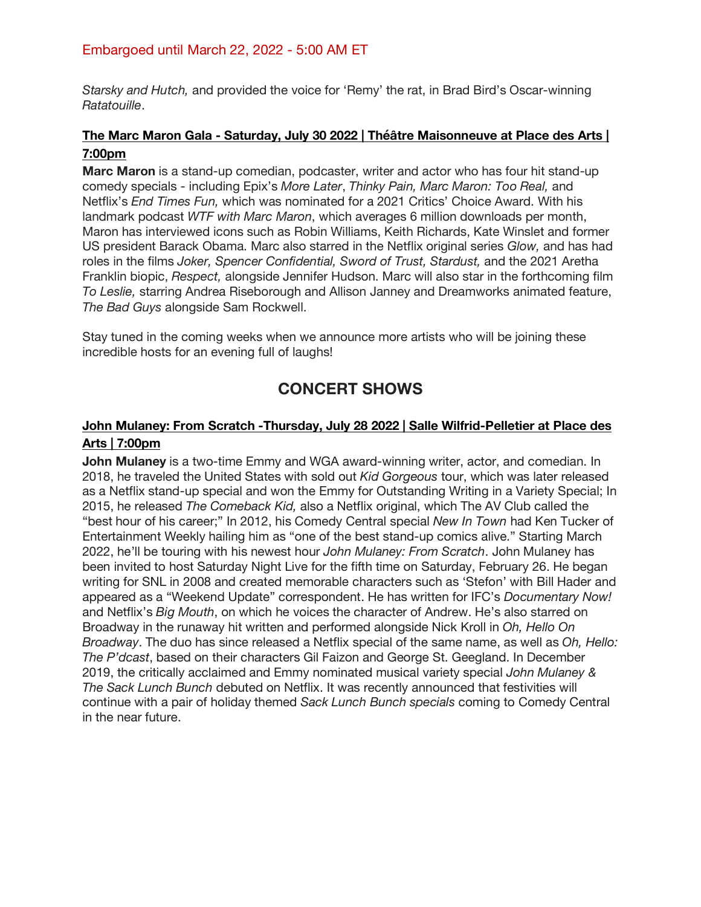#### Embargoed until March 22, 2022 - 5:00 AM ET

*Starsky and Hutch,* and provided the voice for 'Remy' the rat, in Brad Bird's Oscar-winning *Ratatouille*.

#### **The Marc Maron Gala - Saturday, July 30 2022 | Théâtre Maisonneuve at Place des Arts | 7:00pm**

**Marc Maron** is a stand-up comedian, podcaster, writer and actor who has four hit stand-up comedy specials - including Epix's *More Later*, *Thinky Pain, Marc Maron: Too Real,* and Netflix's *End Times Fun,* which was nominated for a 2021 Critics' Choice Award. With his landmark podcast *WTF with Marc Maron*, which averages 6 million downloads per month, Maron has interviewed icons such as Robin Williams, Keith Richards, Kate Winslet and former US president Barack Obama. Marc also starred in the Netflix original series *Glow,* and has had roles in the films *Joker, Spencer Confidential, Sword of Trust, Stardust,* and the 2021 Aretha Franklin biopic, *Respect,* alongside Jennifer Hudson. Marc will also star in the forthcoming film *To Leslie,* starring Andrea Riseborough and Allison Janney and Dreamworks animated feature, *The Bad Guys* alongside Sam Rockwell.

Stay tuned in the coming weeks when we announce more artists who will be joining these incredible hosts for an evening full of laughs!

### **CONCERT SHOWS**

#### **John Mulaney: From Scratch -Thursday, July 28 2022 | Salle Wilfrid-Pelletier at Place des Arts | 7:00pm**

**John Mulaney** is a two-time Emmy and WGA award-winning writer, actor, and comedian. In 2018, he traveled the United States with sold out *Kid Gorgeous* tour, which was later released as a Netflix stand-up special and won the Emmy for Outstanding Writing in a Variety Special; In 2015, he released *The Comeback Kid,* also a Netflix original, which The AV Club called the "best hour of his career;" In 2012, his Comedy Central special *New In Town* had Ken Tucker of Entertainment Weekly hailing him as "one of the best stand-up comics alive." Starting March 2022, he'll be touring with his newest hour *John Mulaney: From Scratch*. John Mulaney has been invited to host Saturday Night Live for the fifth time on Saturday, February 26. He began writing for SNL in 2008 and created memorable characters such as 'Stefon' with Bill Hader and appeared as a "Weekend Update" correspondent. He has written for IFC's *Documentary Now!* and Netflix's *Big Mouth*, on which he voices the character of Andrew. He's also starred on Broadway in the runaway hit written and performed alongside Nick Kroll in *Oh, Hello On Broadway*. The duo has since released a Netflix special of the same name, as well as *Oh, Hello: The P'dcast*, based on their characters Gil Faizon and George St. Geegland. In December 2019, the critically acclaimed and Emmy nominated musical variety special *John Mulaney & The Sack Lunch Bunch* debuted on Netflix. It was recently announced that festivities will continue with a pair of holiday themed *Sack Lunch Bunch specials* coming to Comedy Central in the near future.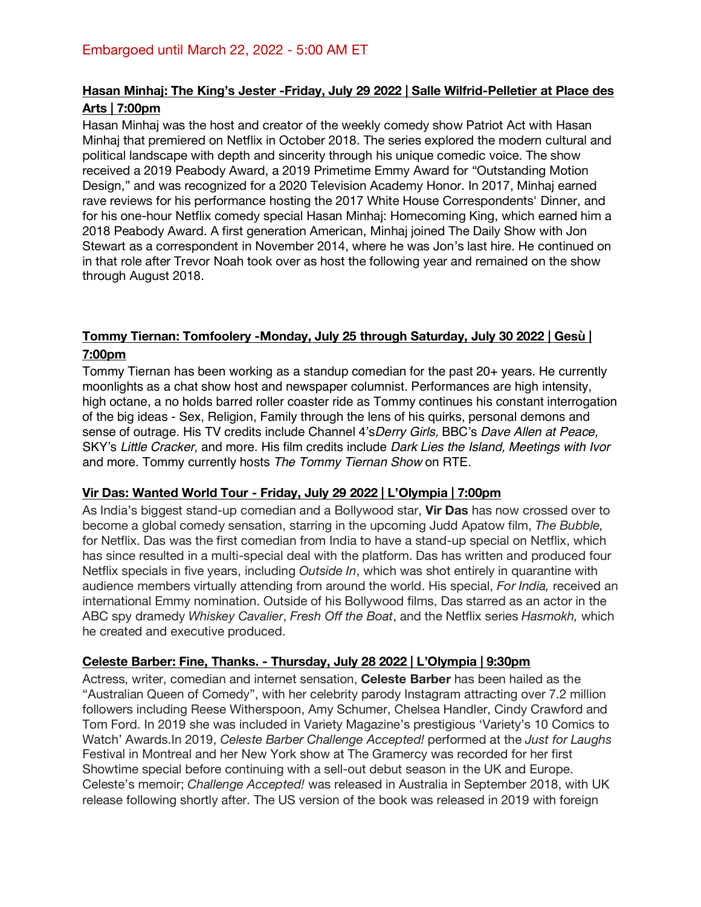#### **Hasan Minhaj: The King's Jester -Friday, July 29 2022 | Salle Wilfrid-Pelletier at Place des Arts | 7:00pm**

Hasan Minhaj was the host and creator of the weekly comedy show Patriot Act with Hasan Minhaj that premiered on Netflix in October 2018. The series explored the modern cultural and political landscape with depth and sincerity through his unique comedic voice. The show received a 2019 Peabody Award, a 2019 Primetime Emmy Award for "Outstanding Motion Design," and was recognized for a 2020 Television Academy Honor. In 2017, Minhaj earned rave reviews for his performance hosting the 2017 White House Correspondents' Dinner, and for his one-hour Netflix comedy special Hasan Minhaj: Homecoming King, which earned him a 2018 Peabody Award. A first generation American, Minhaj joined The Daily Show with Jon Stewart as a correspondent in November 2014, where he was Jon's last hire. He continued on in that role after Trevor Noah took over as host the following year and remained on the show through August 2018.

#### **Tommy Tiernan: Tomfoolery -Monday, July 25 through Saturday, July 30 2022 | Gesù | 7:00pm**

Tommy Tiernan has been working as a standup comedian for the past 20+ years. He currently moonlights as a chat show host and newspaper columnist. Performances are high intensity, high octane, a no holds barred roller coaster ride as Tommy continues his constant interrogation of the big ideas - Sex, Religion, Family through the lens of his quirks, personal demons and sense of outrage. His TV credits include Channel 4's*Derry Girls,* BBC's *Dave Allen at Peace,* SKY's *Little Cracker,* and more. His film credits include *Dark Lies the Island, Meetings with Ivor* and more. Tommy currently hosts *The Tommy Tiernan Show* on RTE.

#### **Vir Das: Wanted World Tour - Friday, July 29 2022 | L'Olympia | 7:00pm**

As India's biggest stand-up comedian and a Bollywood star, **Vir Das** has now crossed over to become a global comedy sensation, starring in the upcoming Judd Apatow film, *The Bubble,* for Netflix. Das was the first comedian from India to have a stand-up special on Netflix, which has since resulted in a multi-special deal with the platform. Das has written and produced four Netflix specials in five years, including *Outside In*, which was shot entirely in quarantine with audience members virtually attending from around the world. His special, *For India,* received an international Emmy nomination. Outside of his Bollywood films, Das starred as an actor in the ABC spy dramedy *Whiskey Cavalier*, *Fresh Off the Boat*, and the Netflix series *Hasmokh,* which he created and executive produced.

#### **Celeste Barber: Fine, Thanks. - Thursday, July 28 2022 | L'Olympia | 9:30pm**

Actress, writer, comedian and internet sensation, **Celeste Barber** has been hailed as the "Australian Queen of Comedy", with her celebrity parody Instagram attracting over 7.2 million followers including Reese Witherspoon, Amy Schumer, Chelsea Handler, Cindy Crawford and Tom Ford. In 2019 she was included in Variety Magazine's prestigious 'Variety's 10 Comics to Watch' Awards.In 2019, *Celeste Barber Challenge Accepted!* performed at the *Just for Laughs* Festival in Montreal and her New York show at The Gramercy was recorded for her first Showtime special before continuing with a sell-out debut season in the UK and Europe. Celeste's memoir; *Challenge Accepted!* was released in Australia in September 2018, with UK release following shortly after. The US version of the book was released in 2019 with foreign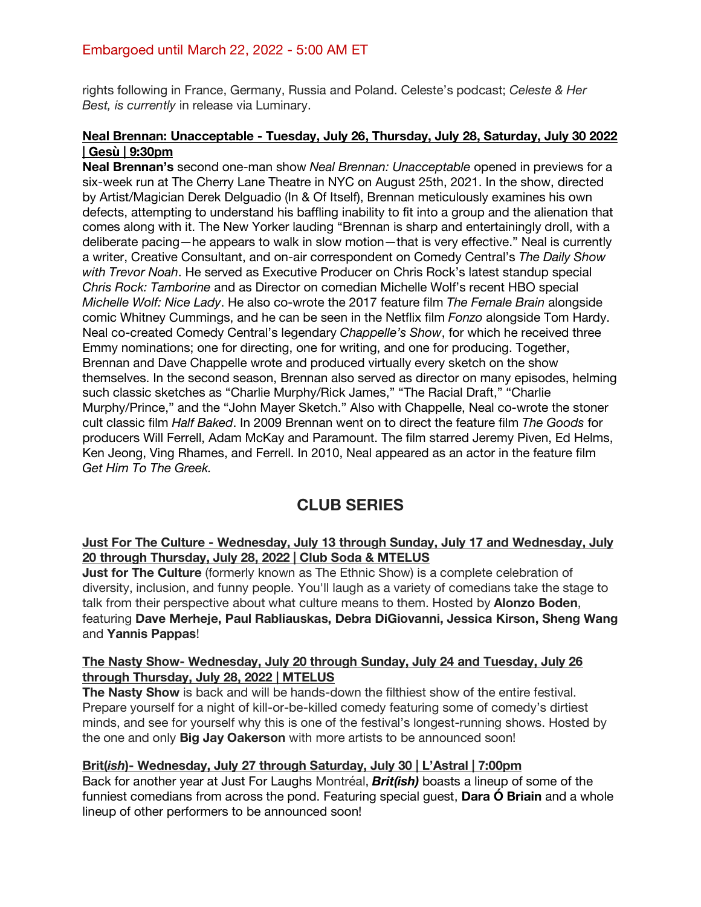#### Embargoed until March 22, 2022 - 5:00 AM ET

rights following in France, Germany, Russia and Poland. Celeste's podcast; *Celeste & Her Best, is currently* in release via Luminary.

#### **Neal Brennan: Unacceptable - Tuesday, July 26, Thursday, July 28, Saturday, July 30 2022 | Gesù | 9:30pm**

**Neal Brennan's** second one-man show *Neal Brennan: Unacceptable* opened in previews for a six-week run at The Cherry Lane Theatre in NYC on August 25th, 2021. In the show, directed by Artist/Magician Derek Delguadio (In & Of Itself), Brennan meticulously examines his own defects, attempting to understand his baffling inability to fit into a group and the alienation that comes along with it. The New Yorker lauding "Brennan is sharp and entertainingly droll, with a deliberate pacing—he appears to walk in slow motion—that is very effective." Neal is currently a writer, Creative Consultant, and on-air correspondent on Comedy Central's *The Daily Show with Trevor Noah*. He served as Executive Producer on Chris Rock's latest standup special *Chris Rock: Tamborine* and as Director on comedian Michelle Wolf's recent HBO special *Michelle Wolf: Nice Lady*. He also co-wrote the 2017 feature film *The Female Brain* alongside comic Whitney Cummings, and he can be seen in the Netflix film *Fonzo* alongside Tom Hardy. Neal co-created Comedy Central's legendary *Chappelle's Show*, for which he received three Emmy nominations; one for directing, one for writing, and one for producing. Together, Brennan and Dave Chappelle wrote and produced virtually every sketch on the show themselves. In the second season, Brennan also served as director on many episodes, helming such classic sketches as "Charlie Murphy/Rick James," "The Racial Draft," "Charlie Murphy/Prince," and the "John Mayer Sketch." Also with Chappelle, Neal co-wrote the stoner cult classic film *Half Baked*. In 2009 Brennan went on to direct the feature film *The Goods* for producers Will Ferrell, Adam McKay and Paramount. The film starred Jeremy Piven, Ed Helms, Ken Jeong, Ving Rhames, and Ferrell. In 2010, Neal appeared as an actor in the feature film *Get Him To The Greek.*

## **CLUB SERIES**

#### **Just For The Culture - Wednesday, July 13 through Sunday, July 17 and Wednesday, July 20 through Thursday, July 28, 2022 | Club Soda & MTELUS**

**Just for The Culture** (formerly known as The Ethnic Show) is a complete celebration of diversity, inclusion, and funny people. You'll laugh as a variety of comedians take the stage to talk from their perspective about what culture means to them. Hosted by **Alonzo Boden**, featuring **Dave Merheje, Paul Rabliauskas, Debra DiGiovanni, Jessica Kirson, Sheng Wang** and **Yannis Pappas**!

#### **The Nasty Show- Wednesday, July 20 through Sunday, July 24 and Tuesday, July 26 through Thursday, July 28, 2022 | MTELUS**

**The Nasty Show** is back and will be hands-down the filthiest show of the entire festival. Prepare yourself for a night of kill-or-be-killed comedy featuring some of comedy's dirtiest minds, and see for yourself why this is one of the festival's longest-running shows. Hosted by the one and only **Big Jay Oakerson** with more artists to be announced soon!

#### **Brit(***ish***)- Wednesday, July 27 through Saturday, July 30 | L'Astral | 7:00pm**

Back for another year at Just For Laughs Montréal, *Brit(ish)* boasts a lineup of some of the funniest comedians from across the pond. Featuring special guest, **Dara Ó Briain** and a whole lineup of other performers to be announced soon!